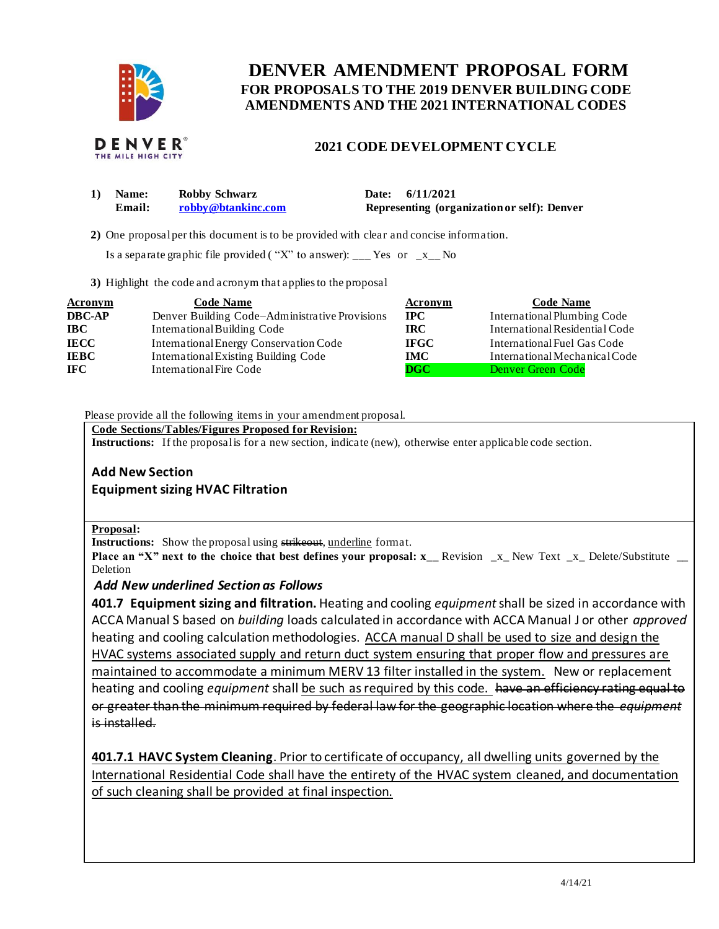

# **FOR PROPOSALS TO THE 2019 DENVER BUILDING CODE DENVER AMENDMENT PROPOSAL FORM AMENDMENTS AND THE 2021 INTERNATIONAL CODES**



## **2021 CODE DEVELOPMENT CYCLE**

| Name:  | <b>Robby Schwarz</b> | Date: 6/11/2021                             |
|--------|----------------------|---------------------------------------------|
| Email: | robby@btankinc.com   | Representing (organization or self): Denver |

**2)** One proposalper this document is to be provided with clear and concise information.

Is a separate graphic file provided ("X" to answer): \_\_\_ Yes or  $-x_{\text{max}}$  No

**3)** Highlight the code and acronym that applies to the proposal

| <b>Acronym</b> | <b>Code Name</b>                               | Acronym     | <b>Code Name</b>               |
|----------------|------------------------------------------------|-------------|--------------------------------|
| <b>DBC-AP</b>  | Denver Building Code–Administrative Provisions | $\bf IPC$   | International Plumbing Code    |
| <b>IBC</b>     | International Building Code                    | IRC-        | International Residential Code |
| <b>IECC</b>    | International Energy Conservation Code         | <b>IFGC</b> | International Fuel Gas Code    |
| <b>IEBC</b>    | International Existing Building Code           | <b>IMC</b>  | International Mechanical Code  |
| <b>IFC</b>     | International Fire Code                        | DGC         | Denver Green Code              |

Please provide all the following items in your amendment proposal.

 **Code Sections/Tables/Figures Proposed for Revision:** 

**Instructions:** If the proposalis for a new section, indicate (new), otherwise enter applicable code section.

# **Add New Section**

 **Equipment sizing HVAC Filtration** 

### **Proposal:**

**Instructions:** Show the proposal using strikeout, underline format.

**Place an "X" next to the choice that best defines your proposal: x<sub>\_</sub>\_ Revision \_x\_ New Text \_x\_ Delete/Substitute \_\_** Deletion

### *Add New underlined Section as Follows*

 **401.7 Equipment sizing and filtration.** Heating and cooling *equipment* shall be sized in accordance with ACCA Manual S based on *building* loads calculated in accordance with ACCA Manual J or other *approved*  heating and cooling calculation methodologies. ACCA manual D shall be used to size and design the HVAC systems associated supply and return duct system ensuring that proper flow and pressures are maintained to accommodate a minimum MERV 13 filter installed in the system. New or replacement heating and cooling *equipment* shall be such as required by this code. have an efficiency rating equal to or greater than the minimum required by federal law for the geographic location where the *equipment*  is installed.

 **401.7.1 HAVC System Cleaning**. Prior to certificate of occupancy, all dwelling units governed by the International Residential Code shall have the entirety of the HVAC system cleaned, and documentation of such cleaning shall be provided at final inspection.